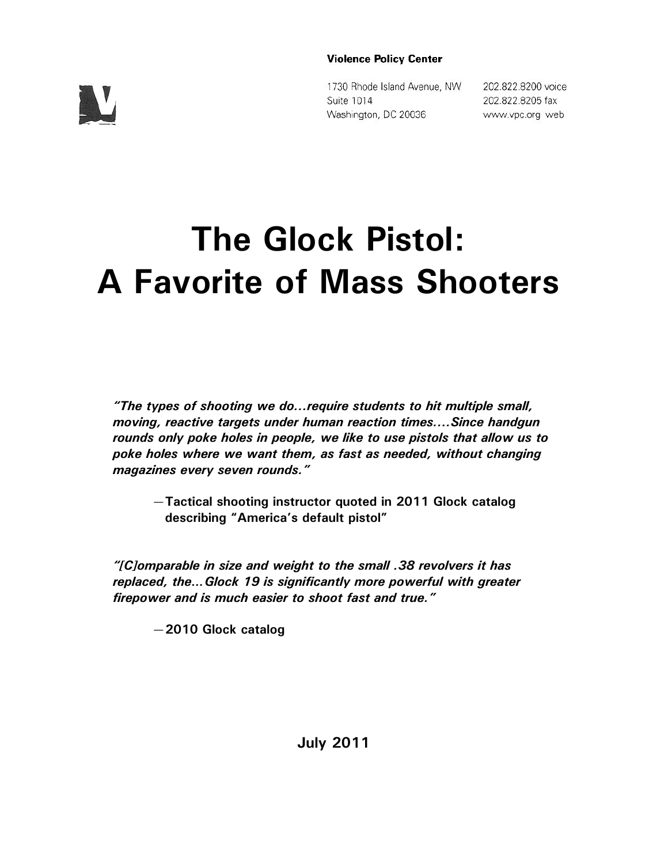#### **Violence Policy Center**

 $\mathbf{V}_I$ 

1730 Rhode Island Avenue, NW Suite 1014 Washington, DC 20036

202.822.8200 voice 202.822.8205 fax www.vpc.org web

# **The Glock Pistol: A Favorite of Mass Shooters**

*"The types of shooting we do...require students to hit multiple small, moving, reactive targets under human reaction times....Since handgun rounds only poke holes in people, we like to use pistols that allow us to poke holes where we want them, as fast as needed, without changing magazines every seven rounds."* 

—**Tactical shooting instructor quoted in 2011 Glock catalog describing "America's default pistol"**

*"[C]omparable in size and weight to the small .38 revolvers it has replaced, the…Glock 19 is significantly more powerful with greater firepower and is much easier to shoot fast and true."*

—**2010 Glock catalog**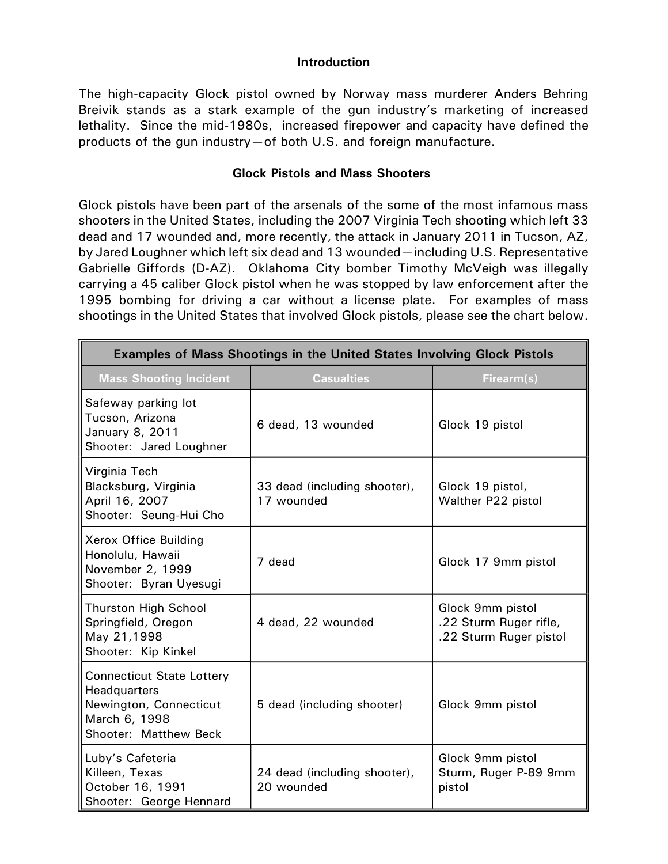#### **Introduction**

The high-capacity Glock pistol owned by Norway mass murderer Anders Behring Breivik stands as a stark example of the gun industry's marketing of increased lethality. Since the mid-1980s, increased firepower and capacity have defined the products of the gun industry—of both U.S. and foreign manufacture.

### **Glock Pistols and Mass Shooters**

Glock pistols have been part of the arsenals of the some of the most infamous mass shooters in the United States, including the 2007 Virginia Tech shooting which left 33 dead and 17 wounded and, more recently, the attack in January 2011 in Tucson, AZ, by Jared Loughner which left six dead and 13 wounded—including U.S. Representative Gabrielle Giffords (D-AZ). Oklahoma City bomber Timothy McVeigh was illegally carrying a 45 caliber Glock pistol when he was stopped by law enforcement after the 1995 bombing for driving a car without a license plate. For examples of mass shootings in the United States that involved Glock pistols, please see the chart below.

| <b>Examples of Mass Shootings in the United States Involving Glock Pistols</b>                                       |                                            |                                                                      |  |
|----------------------------------------------------------------------------------------------------------------------|--------------------------------------------|----------------------------------------------------------------------|--|
| <b>Mass Shooting Incident</b>                                                                                        | <b>Casualties</b>                          | Firearm(s)                                                           |  |
| Safeway parking lot<br>Tucson, Arizona<br>January 8, 2011<br>Shooter: Jared Loughner                                 | 6 dead, 13 wounded                         | Glock 19 pistol                                                      |  |
| Virginia Tech<br>Blacksburg, Virginia<br>April 16, 2007<br>Shooter: Seung-Hui Cho                                    | 33 dead (including shooter),<br>17 wounded | Glock 19 pistol,<br>Walther P22 pistol                               |  |
| Xerox Office Building<br>Honolulu, Hawaii<br>November 2, 1999<br>Shooter: Byran Uyesugi                              | 7 dead                                     | Glock 17 9mm pistol                                                  |  |
| <b>Thurston High School</b><br>Springfield, Oregon<br>May 21,1998<br>Shooter: Kip Kinkel                             | 4 dead, 22 wounded                         | Glock 9mm pistol<br>.22 Sturm Ruger rifle,<br>.22 Sturm Ruger pistol |  |
| <b>Connecticut State Lottery</b><br>Headquarters<br>Newington, Connecticut<br>March 6, 1998<br>Shooter: Matthew Beck | 5 dead (including shooter)                 | Glock 9mm pistol                                                     |  |
| Luby's Cafeteria<br>Killeen, Texas<br>October 16, 1991<br>Shooter: George Hennard                                    | 24 dead (including shooter),<br>20 wounded | Glock 9mm pistol<br>Sturm, Ruger P-89 9mm<br>pistol                  |  |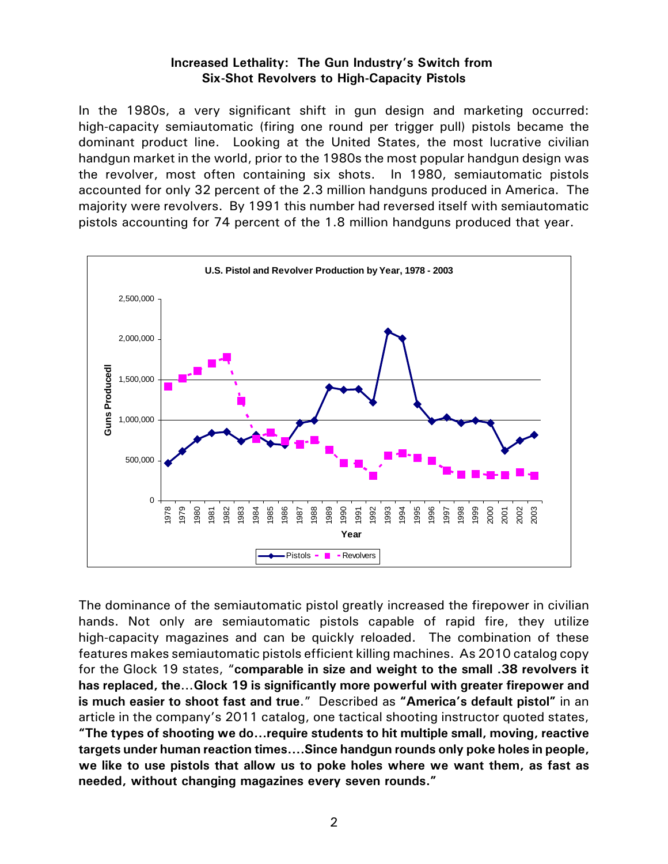#### **Increased Lethality: The Gun Industry's Switch from Six-Shot Revolvers to High-Capacity Pistols**

In the 1980s, a very significant shift in gun design and marketing occurred: high-capacity semiautomatic (firing one round per trigger pull) pistols became the dominant product line. Looking at the United States, the most lucrative civilian handgun market in the world, prior to the 1980s the most popular handgun design was the revolver, most often containing six shots. In 1980, semiautomatic pistols accounted for only 32 percent of the 2.3 million handguns produced in America. The majority were revolvers. By 1991 this number had reversed itself with semiautomatic pistols accounting for 74 percent of the 1.8 million handguns produced that year.



The dominance of the semiautomatic pistol greatly increased the firepower in civilian hands. Not only are semiautomatic pistols capable of rapid fire, they utilize high-capacity magazines and can be quickly reloaded. The combination of these features makes semiautomatic pistols efficient killing machines. As 2010 catalog copy for the Glock 19 states, "**comparable in size and weight to the small .38 revolvers it has replaced, the…Glock 19 is significantly more powerful with greater firepower and is much easier to shoot fast and true**." Described as **"America's default pistol"** in an article in the company's 2011 catalog, one tactical shooting instructor quoted states, **"The types of shooting we do...require students to hit multiple small, moving, reactive targets under human reaction times....Since handgun rounds only poke holes in people, we like to use pistols that allow us to poke holes where we want them, as fast as needed, without changing magazines every seven rounds."**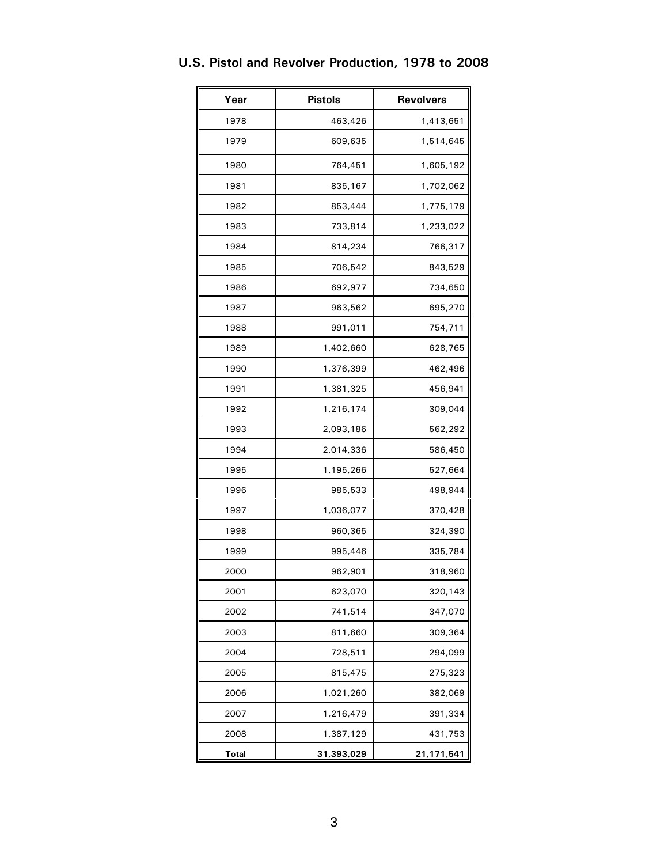| Year         | <b>Pistols</b> | <b>Revolvers</b> |
|--------------|----------------|------------------|
| 1978         | 463,426        | 1,413,651        |
| 1979         | 609,635        | 1,514,645        |
| 1980         | 764,451        | 1,605,192        |
| 1981         | 835,167        | 1,702,062        |
| 1982         | 853,444        | 1,775,179        |
| 1983         | 733,814        | 1,233,022        |
| 1984         | 814,234        | 766,317          |
| 1985         | 706,542        | 843,529          |
| 1986         | 692,977        | 734,650          |
| 1987         | 963,562        | 695,270          |
| 1988         | 991,011        | 754,711          |
| 1989         | 1,402,660      | 628,765          |
| 1990         | 1,376,399      | 462,496          |
| 1991         | 1,381,325      | 456,941          |
| 1992         | 1,216,174      | 309,044          |
| 1993         | 2,093,186      | 562,292          |
| 1994         | 2,014,336      | 586,450          |
| 1995         | 1,195,266      | 527,664          |
| 1996         | 985,533        | 498,944          |
| 1997         | 1,036,077      | 370,428          |
| 1998         | 960,365        | 324,390          |
| 1999         | 995,446        | 335,784          |
| 2000         | 962,901        | 318,960          |
| 2001         | 623,070        | 320,143          |
| 2002         | 741,514        | 347,070          |
| 2003         | 811,660        | 309,364          |
| 2004         | 728,511        | 294,099          |
| 2005         | 815,475        | 275,323          |
| 2006         | 1,021,260      | 382,069          |
| 2007         | 1,216,479      | 391,334          |
| 2008         | 1,387,129      | 431,753          |
| <b>Total</b> | 31,393,029     | 21,171,541       |

## **U.S. Pistol and Revolver Production, 1978 to 2008**